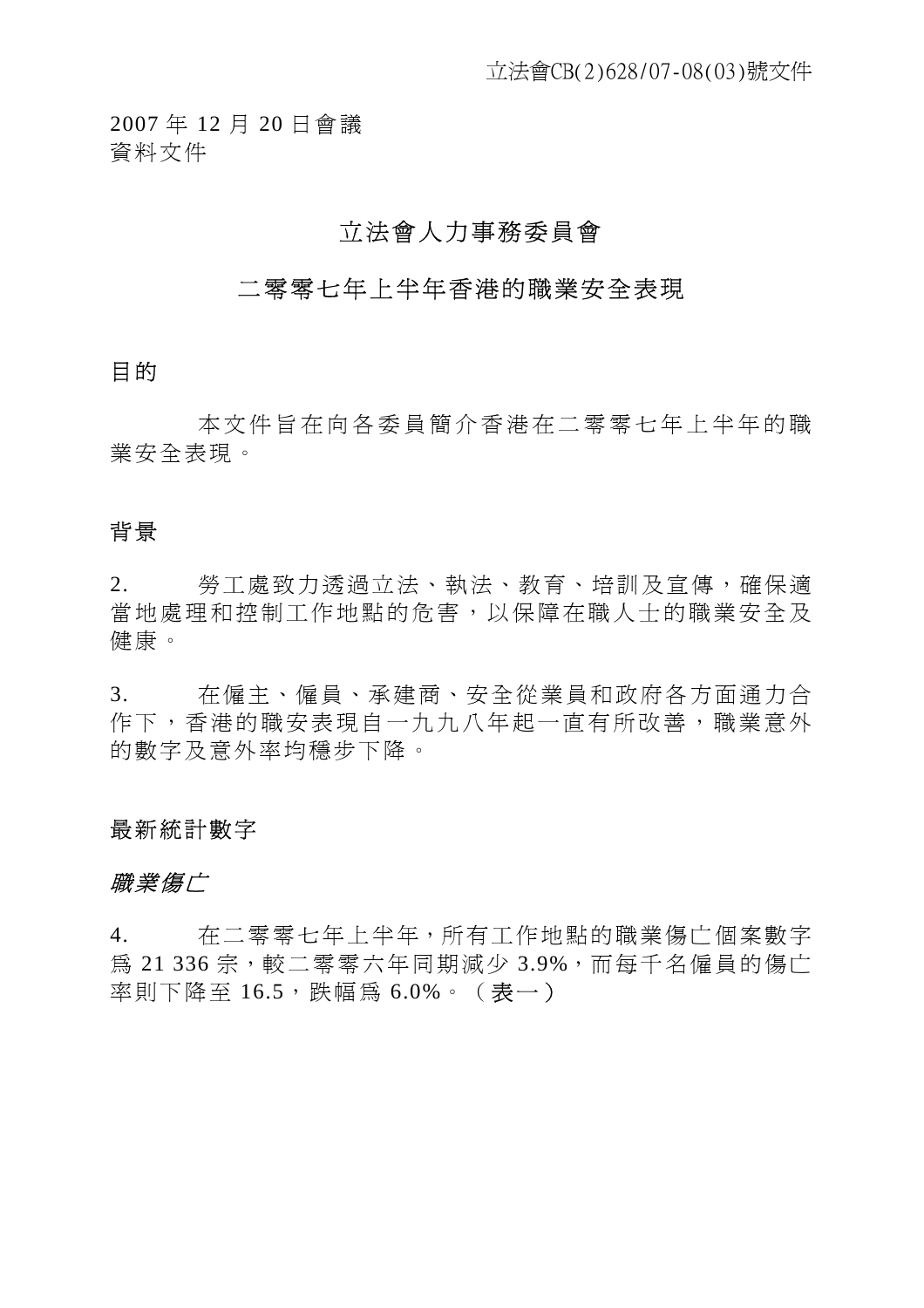2007 年 12 月 20 日會議 資料文件

# 立法會人力事務委員會

# 二零零七年上半年香港的職業安全表現

### 目的

本文件旨在向各委員簡介香港在二零零七年上半年的職 業安全表現。

# 背景

2. 勞工處致力透過立法、執法、教育、培訓及宣傳,確保適 當地處理和控制工作地點的危害,以保障在職人士的職業安全及 健康。

3. 在僱主、僱員、承建商、安全從業員和政府各方面通力合 作下,香港的職安表現自一九九八年起一直有所改善,職業意外 的數字及意外率均穩步下降。

### 最新統計數字

### 職業傷亡

4. 在二零零七年上半年,所有工作地點的職業傷亡個案數字 為 21 336 宗,較二零零六年同期減少 3.9%,而每千名僱員的傷亡 率則下降至 16.5,跌幅為 6.0%。(表一)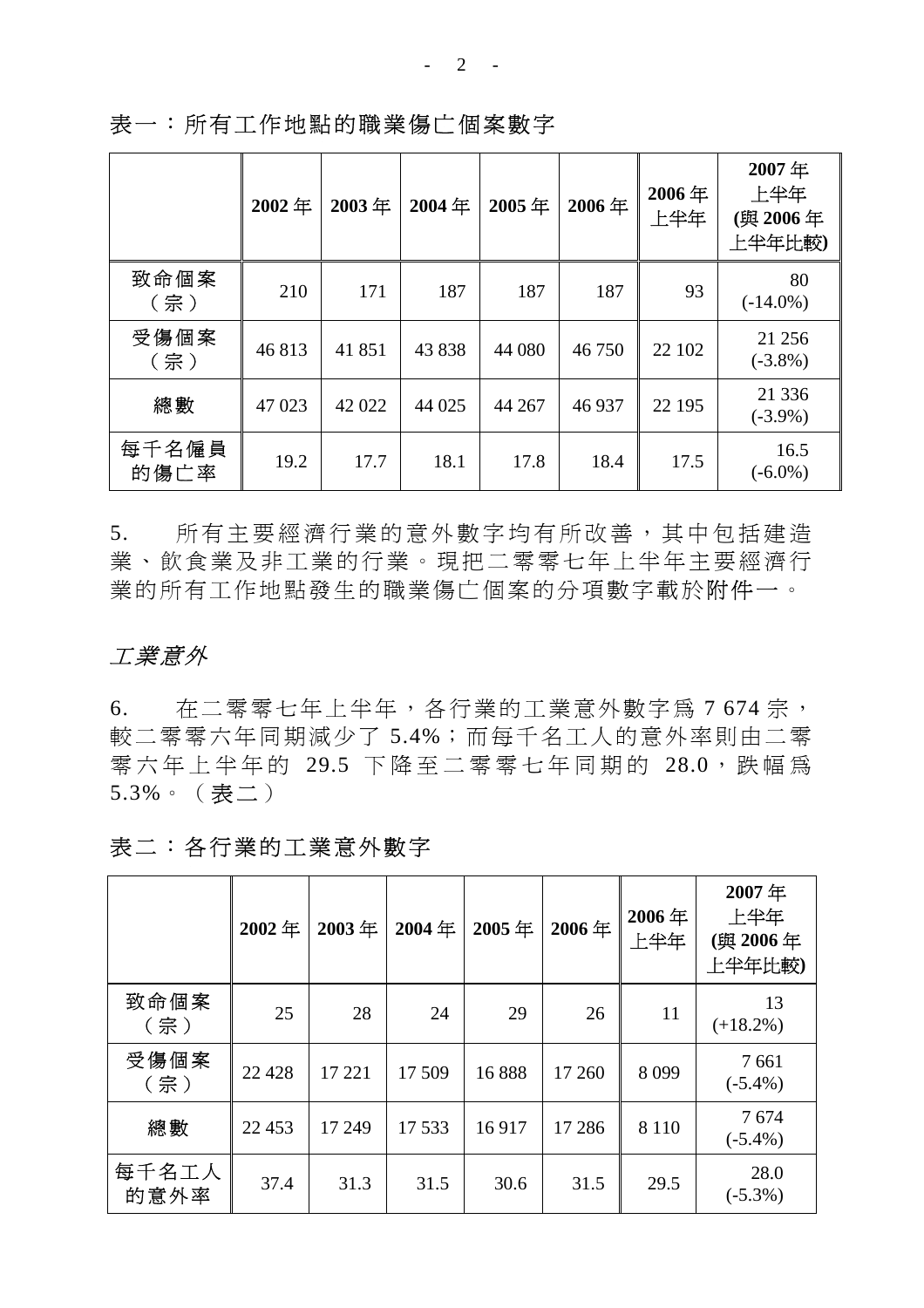|               | 2002年  | 2003年  | 2004年  | 2005年  | 2006年  | 2006年<br>上半年 | 2007年<br>上半年<br>(與 2006年<br>上半年比較) |
|---------------|--------|--------|--------|--------|--------|--------------|------------------------------------|
| 致命個案<br>(宗)   | 210    | 171    | 187    | 187    | 187    | 93           | 80<br>$(-14.0\%)$                  |
| 受傷個案<br>(宗)   | 46813  | 41851  | 43838  | 44 080 | 46 750 | 22 102       | 21 25 6<br>$(-3.8\%)$              |
| 總數            | 47 023 | 42 022 | 44 025 | 44 267 | 46 937 | 22 195       | 21 3 3 6<br>$(-3.9\%)$             |
| 每千名僱員<br>的傷亡率 | 19.2   | 17.7   | 18.1   | 17.8   | 18.4   | 17.5         | 16.5<br>$(-6.0\%)$                 |

表一:所有工作地點的職業傷亡個案數字

5. 所有主要經濟行業的意外數字均有所改善,其中包括建造 業、飲食業及非工業的行業。現把二零零七年上半年主要經濟行 業的所有工作地點發生的職業傷亡個案的分項數字載於附件一。

## 工業意外

6. 在二零零七年上半年,各行業的工業意外數字為 7 674 宗, 較二零零六年同期減少了 5.4%;而每千名工人的意外率則由二零 零六年上半年的 29.5 下降至二零零七年同期的 28.0,跌幅為 5.3%。(表二)

# 表二:各行業的工業意外數字

|               | 2002年   | 2003年  | 2004年  | 2005年 | 2006年   | 2006年<br>上半年 | 2007年<br>上半年<br>(與 2006年<br>上半年比較) |
|---------------|---------|--------|--------|-------|---------|--------------|------------------------------------|
| 致命個案<br>(宗)   | 25      | 28     | 24     | 29    | 26      | 11           | 13<br>$(+18.2\%)$                  |
| 受傷個案<br>(宗)   | 22 4 28 | 17 221 | 17 509 | 16888 | 17 260  | 8099         | 7661<br>$(-5.4\%)$                 |
| 總數            | 22 453  | 17 249 | 17 533 | 16917 | 17 28 6 | 8 1 1 0      | 7674<br>$(-5.4\%)$                 |
| 每千名工人<br>的意外率 | 37.4    | 31.3   | 31.5   | 30.6  | 31.5    | 29.5         | 28.0<br>$(-5.3\%)$                 |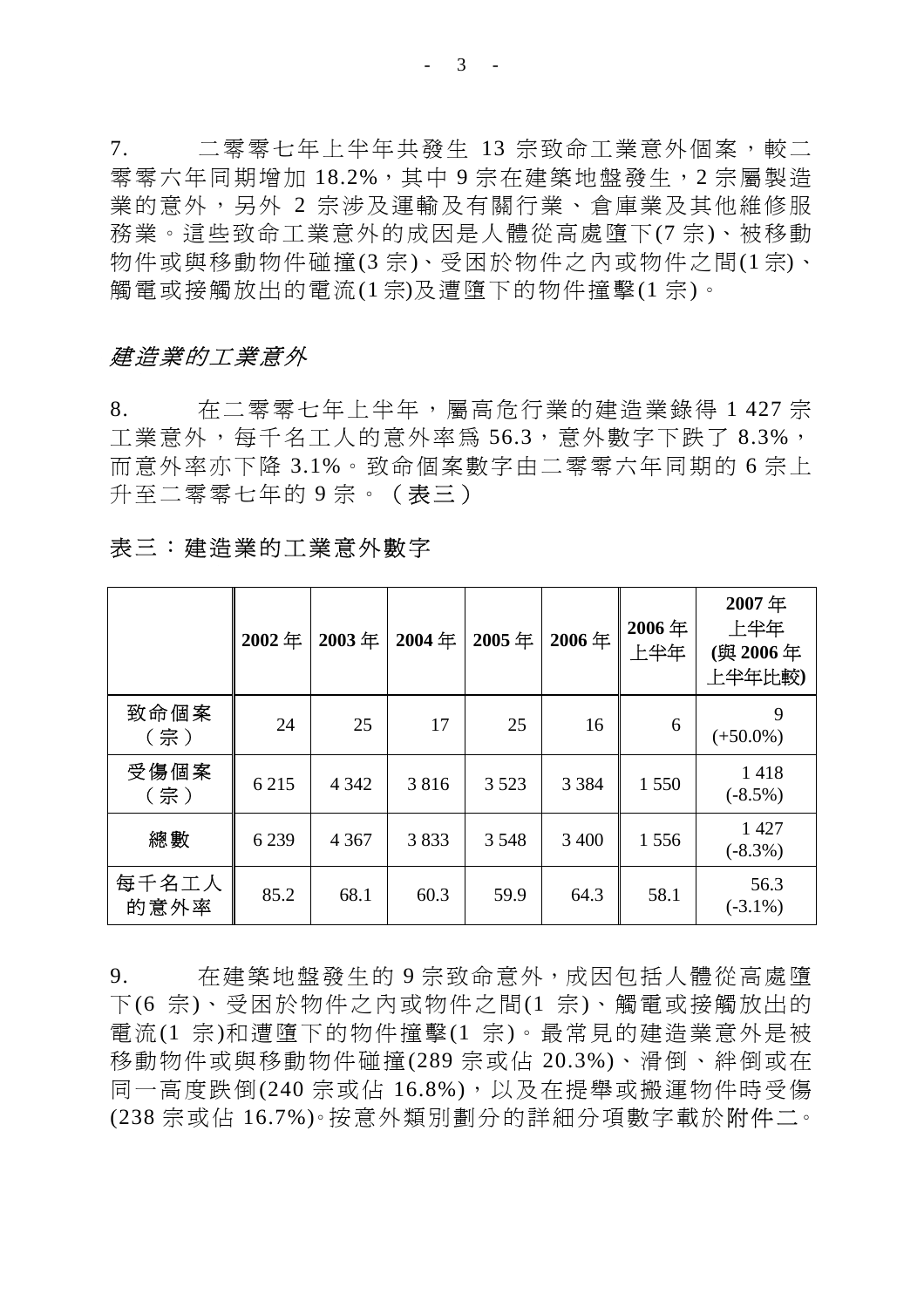$- 3 - -$ 

7. 二零零七年上半年共發生 13 宗致命工業意外個案,較二 零零六年同期增加 18.2%,其中 9 宗在建築地盤發生, 2 宗屬製造 業的意外,另外 2 宗涉及運輸及有關行業、倉庫業及其他維修服 務業。這些致命工業意外的成因是人體從高處墮下(7 宗)、被移動 物件或與移動物件碰撞(3 宗)、受困於物件之內或物件之間(1 宗)、 觸電或接觸放出的電流(1 宗)及遭墮下的物件撞擊(1 宗)。

### 建造業的工業意外

8. 在二零零七年上半年,屬高危行業的建造業錄得 1 427 宗 工業意外,每千名工人的意外率為 56.3, 意外數字下跌了 8.3%, 而意外率亦下降 3.1%。致命個案數字由二零零六年同期的 6 宗上 升至二零零七年的9宗。(表三)

|               | 2002年   | 2003年   | 2004年 | 2005年   | 2006年   | 2006年<br>上半年 | 2007年<br>上半年<br>(與 2006年<br>上半年比較) |
|---------------|---------|---------|-------|---------|---------|--------------|------------------------------------|
| 致命個案<br>(宗)   | 24      | 25      | 17    | 25      | 16      | 6            | 9<br>$(+50.0\%)$                   |
| 受傷個案<br>(宗)   | 6 2 1 5 | 4 3 4 2 | 3816  | 3 5 2 3 | 3 3 8 4 | 1 550        | 1418<br>$(-8.5\%)$                 |
| 總數            | 6239    | 4 3 6 7 | 3833  | 3 5 4 8 | 3 400   | 1556         | 1427<br>$(-8.3\%)$                 |
| 每千名工人<br>的意外率 | 85.2    | 68.1    | 60.3  | 59.9    | 64.3    | 58.1         | 56.3<br>$(-3.1\%)$                 |

表三:建造業的工業意外數字

9. 在建築地盤發生的 9 宗致命意外, 成因包括人體從高處墮 下(6 宗)、受困於物件之內或物件之間(1 宗)、觸電或接觸放出的 電流(1 宗)和遭墮下的物件撞擊(1 宗)。最常見的建造業意外是被 移動物件或與移動物件碰撞(289 宗或佔 20.3%)、滑倒、絆倒或在 同一高度跌倒(240 宗或佔 16.8%),以及在提舉或搬運物件時受傷 (238 宗或佔 16.7%)。按意外類別劃分的詳細分項數字載於附件二。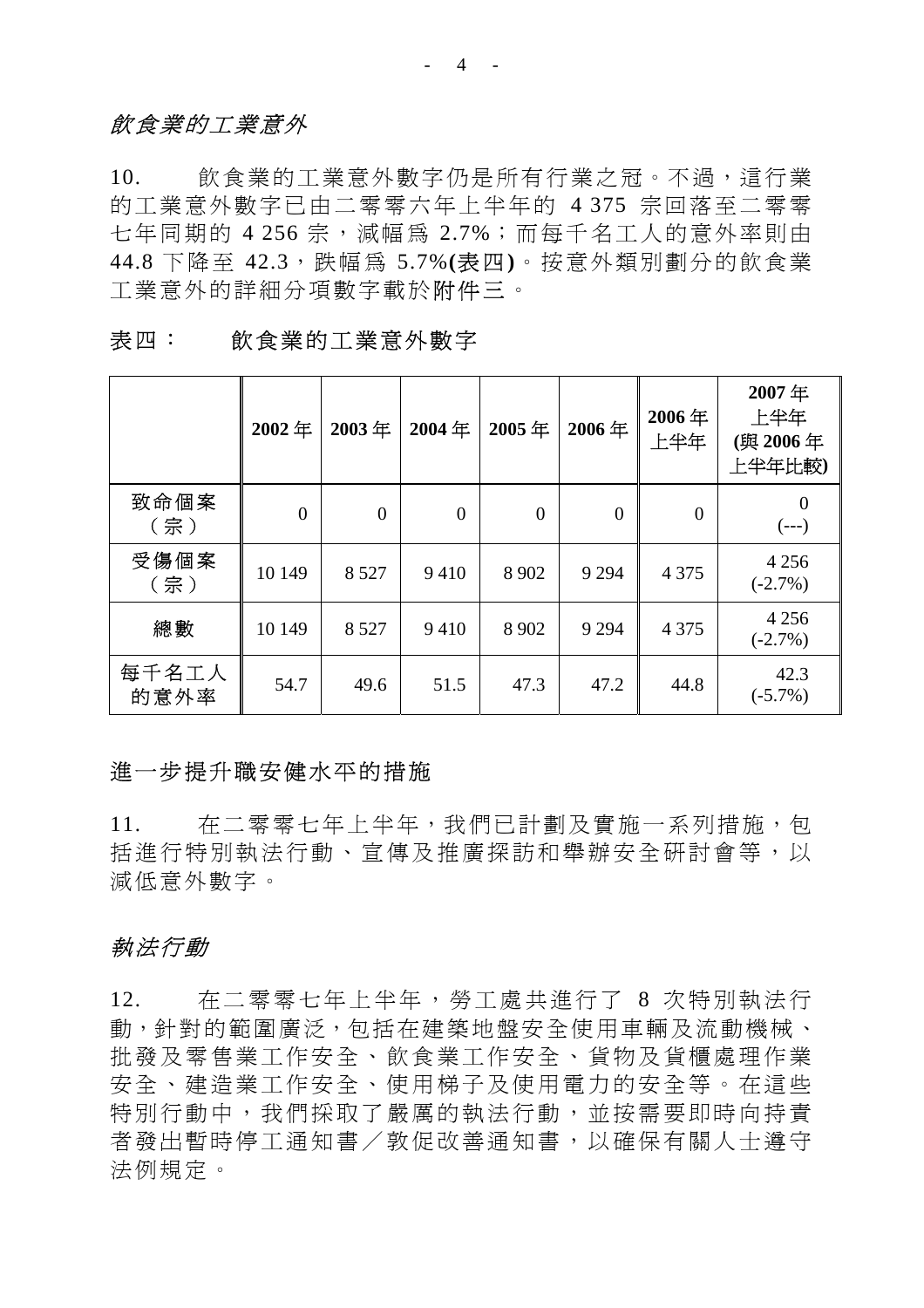## 飲食業的工業意外

10. 飲食業的工業意外數字仍是所有行業之冠。不過,這行業 的工業意外數字已由二零零六年上半年的 4 375 宗回落至二零零 七年同期的 4 256 宗, 減幅為 2.7%;而每千名工人的意外率則由 44.8 下降至 42.3,跌幅為 5.7%**(**表四**)**。按意外類別劃分的飲食業 工業意外的詳細分項數字載於附件三。

|               | 2002年          | 2003年    | 2004年    | 2005年          | 2006年            | 2006年<br>上半年     | 2007年<br>上半年<br>(與 2006年<br>上半年比較) |
|---------------|----------------|----------|----------|----------------|------------------|------------------|------------------------------------|
| 致命個案<br>(宗)   | $\overline{0}$ | $\theta$ | $\theta$ | $\overline{0}$ | $\boldsymbol{0}$ | $\boldsymbol{0}$ | $\Omega$<br>$(--)$                 |
| 受傷個案<br>(宗)   | 10 149         | 8 5 2 7  | 9410     | 8 9 0 2        | 9 2 9 4          | 4 3 7 5          | 4 2 5 6<br>$(-2.7\%)$              |
| 總數            | 10 149         | 8 5 2 7  | 9410     | 8 9 0 2        | 9 2 9 4          | 4 3 7 5          | 4 2 5 6<br>$(-2.7\%)$              |
| 每千名工人<br>的意外率 | 54.7           | 49.6     | 51.5     | 47.3           | 47.2             | 44.8             | 42.3<br>$(-5.7\%)$                 |

表四: 飲食業的工業意外數字

### 進一步提升職安健水平的措施

11. 在二零零七年上半年,我們已計劃及實施一系列措施,包 括進行特別執法行動、宣傳及推廣探訪和舉辦安全研討會等,以 減低意外數字。

## 執法行動

12. 在二零零七年上半年,勞工處共進行了 8 次特別執法行 動,針對的範圍廣泛,包括在建築地盤安全使用車輛及流動機械、 批發及零售業工作安全、飲食業工作安全、貨物及貨櫃處理作業 安全、建造業工作安全、使用梯子及使用電力的安全等。在這些 特別行動中,我們採取了嚴厲的執法行動,並按需要即時向持責 者發出暫時停工通知書/敦促改善通知書,以確保有關人士遵守 法例規定。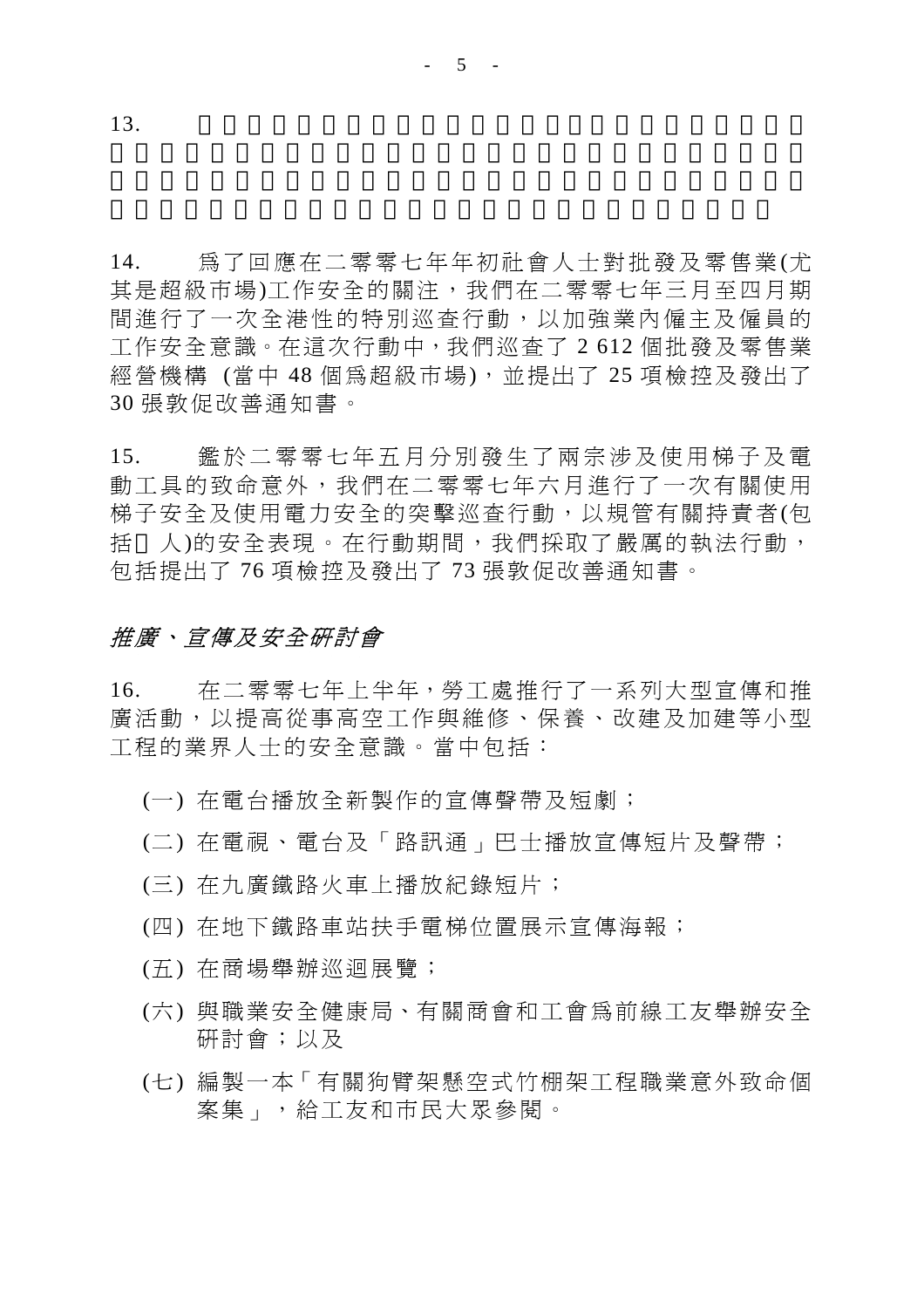14. 為了回應在二零零七年年初社會人士對批發及零售業(尤 其是超級市場)工作安全的關注,我們在二零零七年三月至四月期 間進行了一次全港性的特別巡查行動,以加強業內僱主及僱員的 工作安全意識。在這次行動中,我們巡查了 2 612 個批發及零售業 經營機構 (當中 48 個為超級市場),並提出了 25 項檢控及發出了 30 張敦促改善通知書。

15. 鑑於二零零七年五月分別發生了兩宗涉及使用梯子及電 動工具的致命意外,我們在二零零七年六月進行了一次有關使用 梯子安全及使用電力安全的突擊巡查行動,以規管有關持責者(包 括 人)的安全表現。在行動期間,我們採取了嚴厲的執法行動, 包括提出了 76 項檢控及發出了 73 張敦促改善通知書。

# 推廣、宣傳及安全研討會

16. 在二零零七年上半年,勞工處推行了一系列大型宣傳和推 廣活動,以提高從事高空工作與維修、保養、改建及加建等小型 工程的業界人士的安全意識。當中包括:

- (一) 在電台播放全新製作的宣傳聲帶及短劇;
- (二) 在電視、電台及「路訊通」巴士播放宣傳短片及聲帶;
- (三) 在九廣鐵路火車上播放紀錄短片;
- (四) 在地下鐵路車站扶手電梯位置展示宣傳海報;
- (五) 在商場舉辦巡迴展覽;
- (六) 與職業安全健康局、有關商會和工會為前線工友舉辦安全 研討會;以及
- (七) 編製一本「有關狗臂架懸空式竹棚架工程職業意外致命個 案集」,給工友和市民大眾參閱。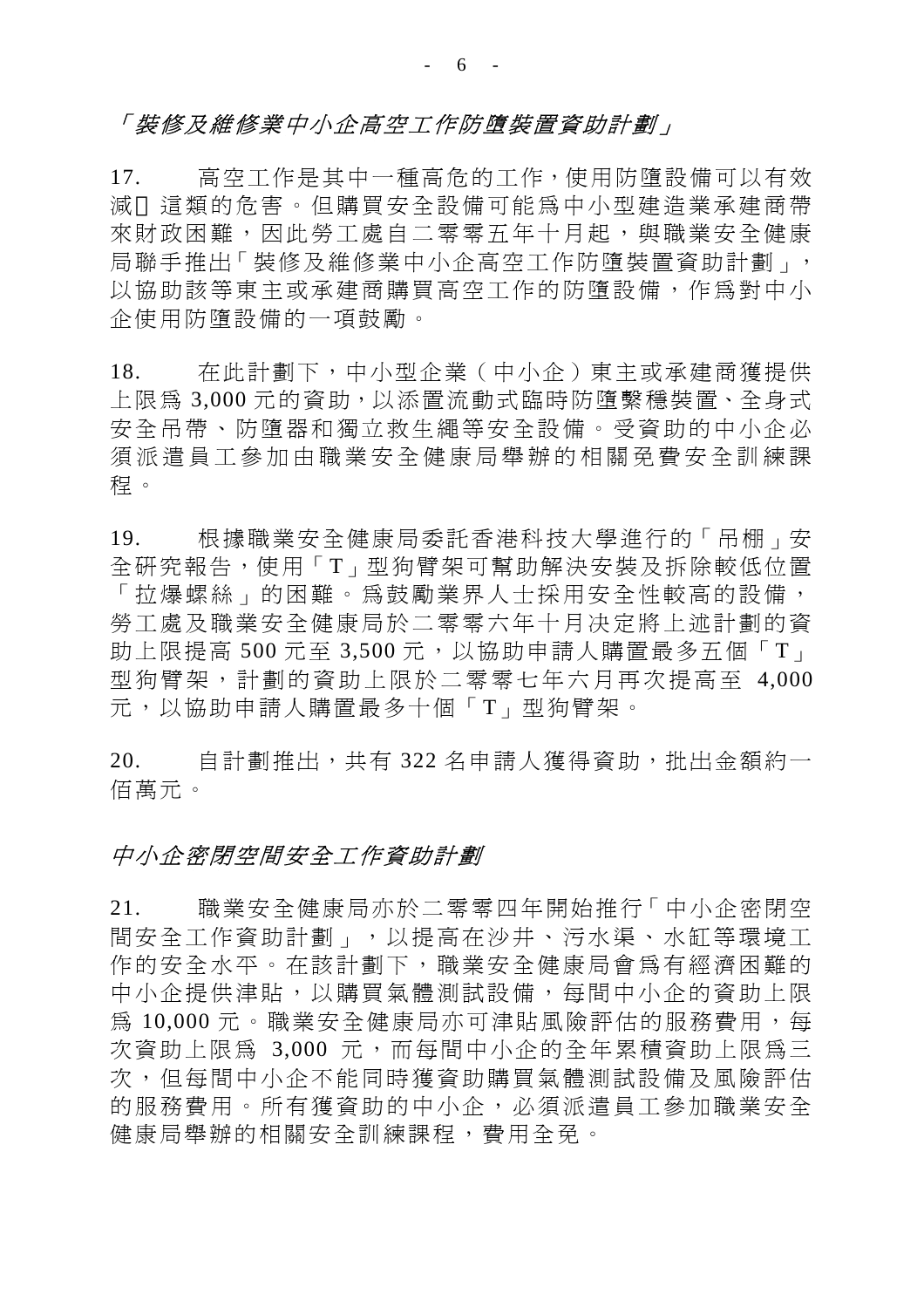## 「裝修及維修業中小企高空工作防墮裝置資助計劃」

17. 高空工作是其中一種高危的工作,使用防墮設備可以有效 減 這類的危害。但購買安全設備可能為中小型建造業承建商帶 來財政困難,因此勞工處自二零零五年十月起,與職業安全健康 局聯手推出「裝修及維修業中小企高空工作防墮裝置資助計劃」, 以協助該等東主或承建商購買高空工作的防墮設備,作為對中小 企使用防墮設備的一項鼓勵。

18. 在此計劃下,中小型企業(中小企)東主或承建商獲提供 上限為 3,000 元的資助,以添置流動式臨時防墮繫穩裝置、全身式 安全吊帶、防墮器和獨立救生繩等安全設備。受資助的中小企必 須派遣員工參加由職業安全健康局舉辦的相關免費安全訓練課 程。

19. 根據職業安全健康局委託香港科技大學進行的「吊棚」安 全研究報告,使用「T」型狗臂架可幫助解決安裝及拆除較低位置 「拉爆螺絲」的困難。為鼓勵業界人士採用安全性較高的設備, 勞工處及職業安全健康局於二零零六年十月决定將上述計劃的資 助上限提高 500 元至 3,500 元, 以協助申請人購置最多五個「T」 型狗臂架,計劃的資助上限於二零零七年六月再次提高至 4,000 元,以協助申請人購置最多十個「T」型狗臂架。

20. 自計劃推出,共有 322 名申請人獲得資助,批出金額約一 佰萬元。

### 中小企密閉空間安全工作資助計劃

21. 職業安全健康局亦於二零零四年開始推行「中小企密閉空 間安全工作資助計劃」,以提高在沙井、污水渠、水缸等環境工 作的安全水平。在該計劃下,職業安全健康局會為有經濟困難的 中小企提供津貼,以購買氣體測試設備,每間中小企的資助上限 為 10,000元。職業安全健康局亦可津貼風險評估的服務費用,每 次資助上限為 3,000 元,而每間中小企的全年累積資助上限為三 次,但每間中小企不能同時獲資助購買氣體測試設備及風險評估 的服務費用。所有獲資助的中小企,必須派遣員工參加職業安全 健康局舉辦的相關安全訓練課程,費用全免。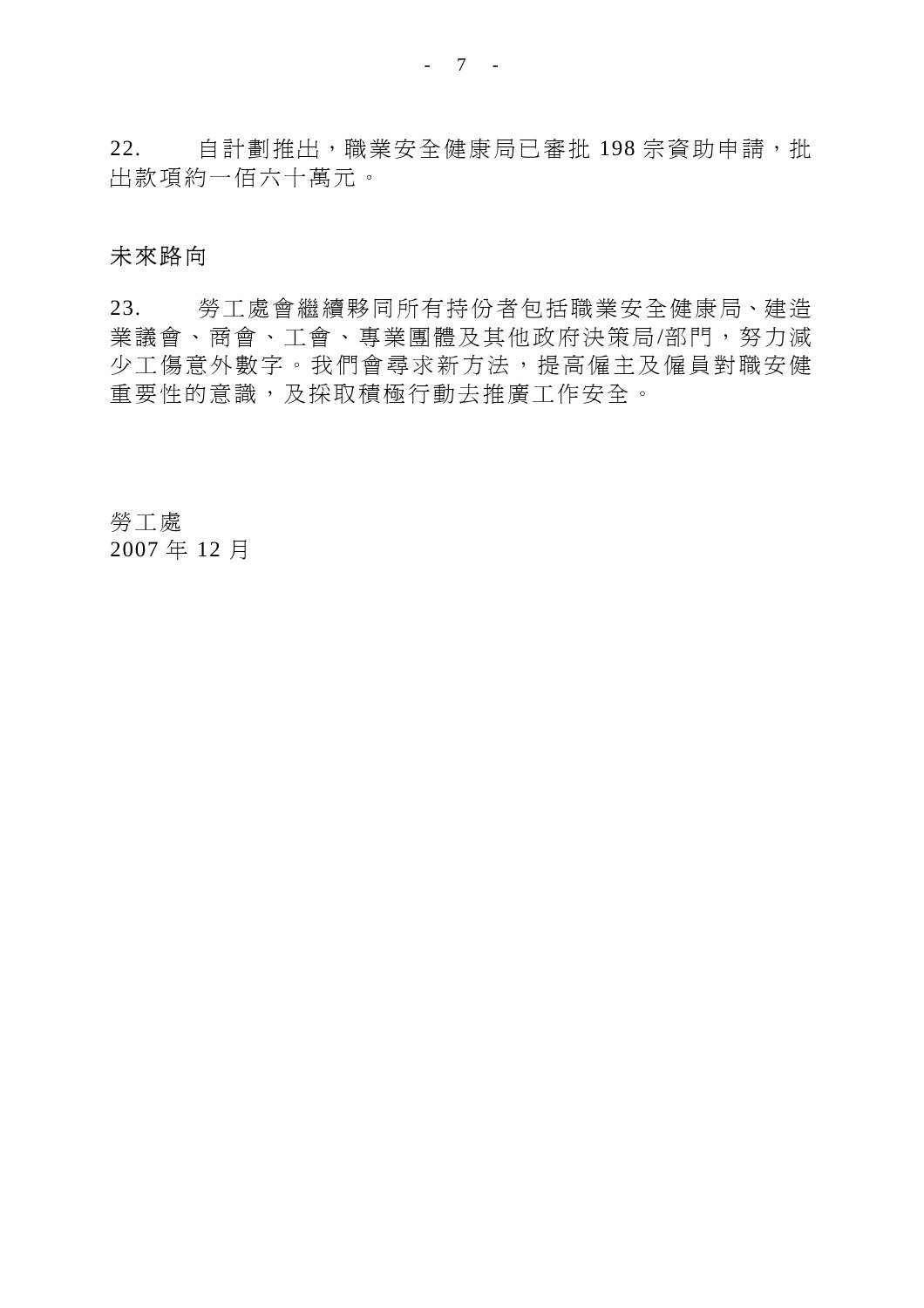22. 自計劃推出,職業安全健康局已審批 198 宗資助申請,批 出款項約一佰六十萬元。

# 未來路向

23. 勞工處會繼續夥同所有持份者包括職業安全健康局、建造 業議會、商會、工會、專業團體及其他政府決策局/部門,努力減 少工傷意外數字。我們會尋求新方法,提高僱主及僱員對職安健 重要性的意識,及採取積極行動去推廣工作安全。

勞工處 2007 年 12 月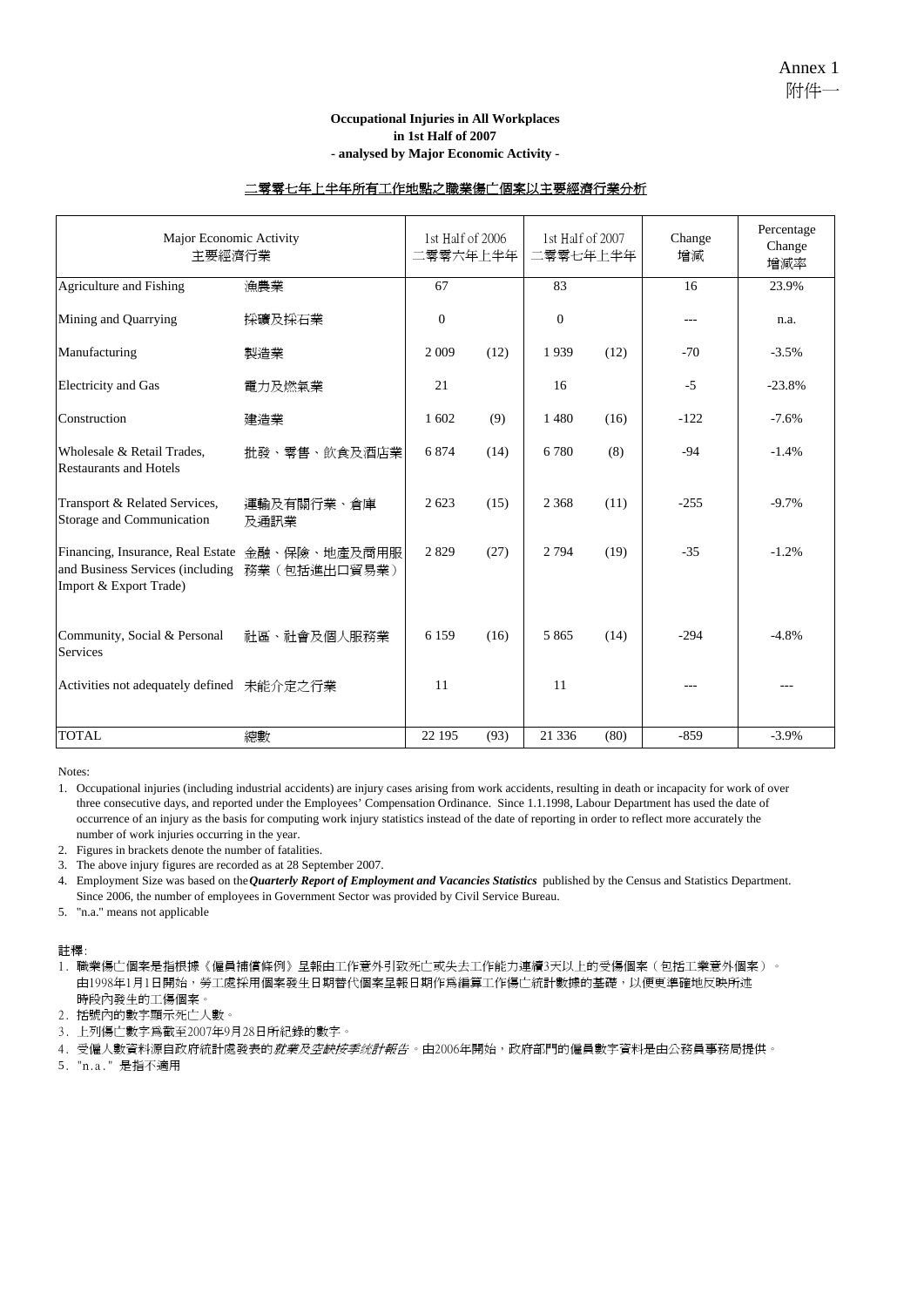#### **Occupational Injuries in All Workplaces in 1st Half of 2007 - analysed by Major Economic Activity -**

#### 二零零七年上半年所有工作地點之職業傷亡個案以主要經濟行業分析

| Major Economic Activity<br>主要經濟行業                                                                                          |                    |              | 1st Half of 2006<br>二零零六年上半年 |                | 1st Half of 2007<br>二零零七年上半年 | Change<br>增減 | Percentage<br>Change<br>增減率 |
|----------------------------------------------------------------------------------------------------------------------------|--------------------|--------------|------------------------------|----------------|------------------------------|--------------|-----------------------------|
| Agriculture and Fishing                                                                                                    | 漁農業                | 67           |                              | 83             |                              | 16           | 23.9%                       |
| Mining and Quarrying                                                                                                       | 採礦及採石業             | $\mathbf{0}$ |                              | $\overline{0}$ |                              | $---$        | n.a.                        |
| Manufacturing                                                                                                              | 製造業                | 2 0 0 9      | (12)                         | 1939           | (12)                         | $-70$        | $-3.5%$                     |
| <b>Electricity</b> and Gas                                                                                                 | 電力及燃氣業             | 21           |                              | 16             |                              | $-5$         | $-23.8%$                    |
| Construction                                                                                                               | 建造業                | 1 602        | (9)                          | 1480           | (16)                         | $-122$       | $-7.6%$                     |
| Wholesale & Retail Trades,<br><b>Restaurants and Hotels</b>                                                                | 批發、零售、飲食及酒店業       | 6874         | (14)                         | 6780           | (8)                          | $-94$        | $-1.4%$                     |
| Transport & Related Services,<br>Storage and Communication                                                                 | 運輸及有關行業、倉庫<br>及通訊業 | 2623         | (15)                         | 2 3 6 8        | (11)                         | $-255$       | $-9.7%$                     |
| Financing, Insurance, Real Estate 金融、保險、地產及商用服<br>and Business Services (including 務業 (包括進出口貿易業)<br>Import & Export Trade) |                    | 2829         | (27)                         | 2 7 9 4        | (19)                         | $-35$        | $-1.2%$                     |
| Community, Social & Personal<br><b>Services</b>                                                                            | 社區、社會及個人服務業        | 6 1 5 9      | (16)                         | 5 8 6 5        | (14)                         | $-294$       | $-4.8%$                     |
| Activities not adequately defined 未能介定之行業                                                                                  |                    | 11           |                              | 11             |                              |              |                             |
| <b>TOTAL</b>                                                                                                               | 總數                 | 22 195       | (93)                         | 21 336         | (80)                         | $-859$       | $-3.9\%$                    |

Notes:

1. Occupational injuries (including industrial accidents) are injury cases arising from work accidents, resulting in death or incapacity for work of over three consecutive days, and reported under the Employees' Compensation Ordinance. Since 1.1.1998, Labour Department has used the date of occurrence of an injury as the basis for computing work injury statistics instead of the date of reporting in order to reflect more accurately the number of work injuries occurring in the year.

2. Figures in brackets denote the number of fatalities.

3. The above injury figures are recorded as at 28 September 2007.

4. Employment Size was based on the *Quarterly Report of Employment and Vacancies Statistics* published by the Census and Statistics Department. Since 2006, the number of employees in Government Sector was provided by Civil Service Bureau.

5. "n.a." means not applicable

註釋:

1. 職業傷亡個案是指根據《僱員補償條例》呈報由工作意外引致死亡或失去工作能力連續3天以上的受傷個案(包括工業意外個案)。 由1998年1月1日開始,勞工處採用個案發生日期替代個案呈報日期作為編算工作傷亡統計數據的基礎,以便更準確地反映所述 時段內發生的工傷個案。

2. 括號內的數字顯示死亡人數。

3. 上列傷亡數字為截至2007年9月28日所紀錄的數字。

4. 受僱人數資料源自政府統計處發表的*就業及空缺按季统計報告* 。由2006年開始,政府部門的僱員數字資料是由公務員事務局提供。

5. "n.a." 是指不適用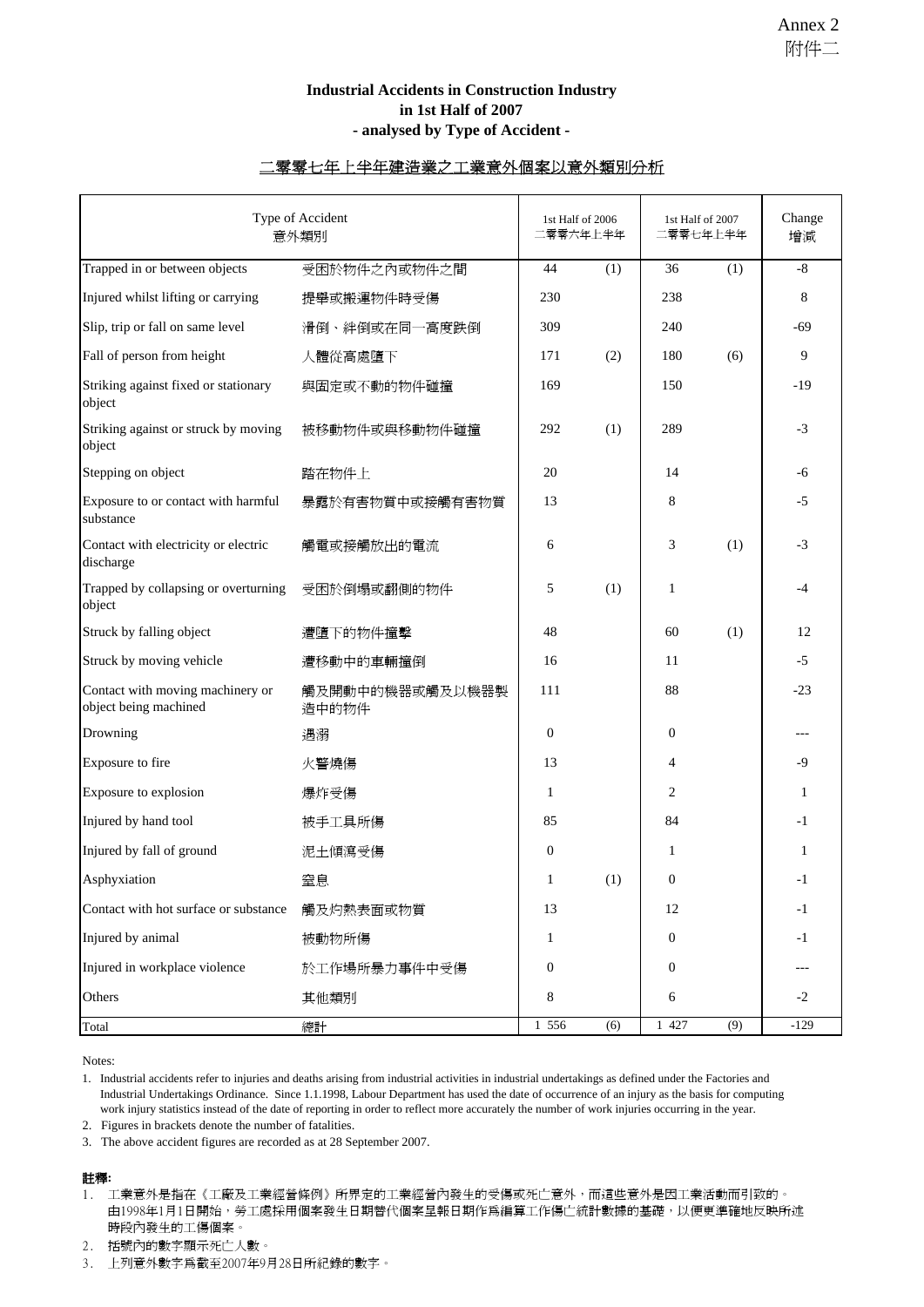#### **Industrial Accidents in Construction Industry in 1st Half of 2007 - analysed by Type of Accident -**

#### 二零零七年上半年建造業之工業意外個案以意外類別分析

| Type of Accident<br>意外類別                                  |                          |                  | 1st Half of 2006<br>二零零六年上半年 | 1st Half of 2007<br>二零零七年上半年 |     | Change<br>增減 |
|-----------------------------------------------------------|--------------------------|------------------|------------------------------|------------------------------|-----|--------------|
| Trapped in or between objects                             | 受困於物件之內或物件之間             | 44               | (1)                          | 36                           | (1) | $\text{-}8$  |
| Injured whilst lifting or carrying                        | 提舉或搬運物件時受傷               | 230              |                              | 238                          |     | 8            |
| Slip, trip or fall on same level                          | 滑倒、絆倒或在同一高度跌倒            | 309              |                              | 240                          |     | $-69$        |
| Fall of person from height                                | 人體從高處墮下                  | 171              | (2)                          | 180                          | (6) | 9            |
| Striking against fixed or stationary<br>object            | 與固定或不動的物件碰撞              | 169              |                              | 150                          |     | $-19$        |
| Striking against or struck by moving<br>object            | 被移動物件或與移動物件碰撞            | 292              | (1)                          | 289                          |     | $-3$         |
| Stepping on object                                        | 踏在物件上                    | 20               |                              | 14                           |     | -6           |
| Exposure to or contact with harmful<br>substance          | 暴露於有害物質中或接觸有害物質          | 13               |                              | 8                            |     | $-5$         |
| Contact with electricity or electric<br>discharge         | 觸電或接觸放出的電流               | 6                |                              | 3                            | (1) | $-3$         |
| Trapped by collapsing or overturning<br>object            | 受困於倒塌或翻側的物件              | 5                | (1)                          | 1                            |     | -4           |
| Struck by falling object                                  | 遭墮下的物件撞擊                 | 48               |                              | 60                           | (1) | 12           |
| Struck by moving vehicle                                  | 遭移動中的車輛撞倒                | 16               |                              | 11                           |     | $-5$         |
| Contact with moving machinery or<br>object being machined | 觸及開動中的機器或觸及以機器製<br>造中的物件 | 111              |                              | 88                           |     | $-23$        |
| Drowning                                                  | 遇溺                       | $\boldsymbol{0}$ |                              | $\mathbf{0}$                 |     |              |
| Exposure to fire                                          | 火警燒傷                     | 13               |                              | $\overline{4}$               |     | -9           |
| Exposure to explosion                                     | 爆炸受傷                     | $\mathbf{1}$     |                              | 2                            |     | 1            |
| Injured by hand tool                                      | 被手工具所傷                   | 85               |                              | 84                           |     | $-1$         |
| Injured by fall of ground                                 | 泥土傾瀉受傷                   | $\boldsymbol{0}$ |                              | 1                            |     | 1            |
| Asphyxiation                                              | 窒息                       | 1                | (1)                          | $\mathbf{0}$                 |     | $-1$         |
| Contact with hot surface or substance                     | 觸及灼熱表面或物質                | 13               |                              | 12                           |     | $-1$         |
| Injured by animal                                         | 被動物所傷                    | $\mathbf{1}$     |                              | $\boldsymbol{0}$             |     | $-1$         |
| Injured in workplace violence                             | 於工作場所暴力事件中受傷             | 0                |                              | $\boldsymbol{0}$             |     |              |
| Others                                                    | 其他類別                     | 8                |                              | 6                            |     | $-2$         |
| Total                                                     | 總計                       | 1 556            | (6)                          | 1 427                        | (9) | $-129$       |

Notes:

1. Industrial accidents refer to injuries and deaths arising from industrial activities in industrial undertakings as defined under the Factories and Industrial Undertakings Ordinance. Since 1.1.1998, Labour Department has used the date of occurrence of an injury as the basis for computing work injury statistics instead of the date of reporting in order to reflect more accurately the number of work injuries occurring in the year.

2. Figures in brackets denote the number of fatalities.

3. The above accident figures are recorded as at 28 September 2007.

#### 註釋**:**

1. 工業意外是指在《工廠及工業經營條例》所界定的工業經營內發生的受傷或死亡意外,而這些意外是因工業活動而引致的。 由1998年1月1日開始,勞工處採用個案發生日期替代個案呈報日期作爲編算工作傷亡統計數據的基礎,以便更準確地反映所述 時段內發生的工傷個案。

2. 括號內的數字顯示死亡人數。

3. 上列意外數字為截至2007年9月28日所紀錄的數字。